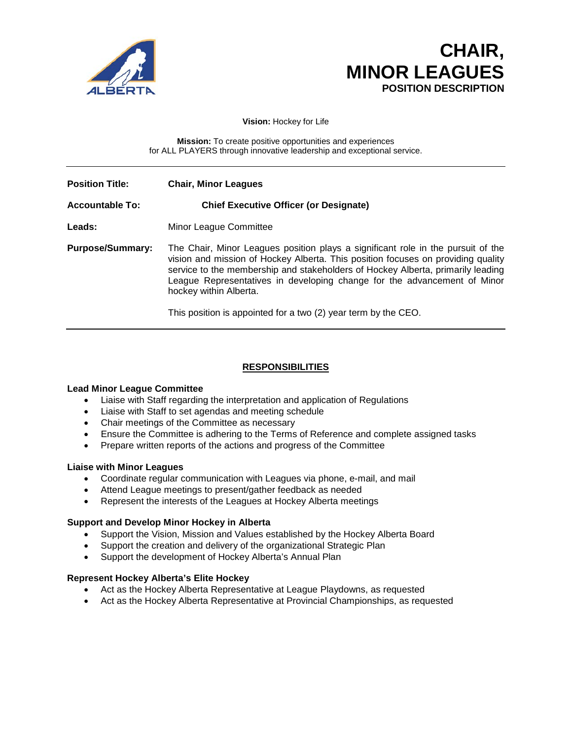

# **CHAIR, MINOR LEAGUES**<br>POSITION DESCRIPTION

**Vision:** Hockey for Life

**Mission:** To create positive opportunities and experiences for ALL PLAYERS through innovative leadership and exceptional service.

| <b>Position Title:</b>  | <b>Chair, Minor Leagues</b>                                                                                                                                                                                                                                                                                                                                                                                                     |
|-------------------------|---------------------------------------------------------------------------------------------------------------------------------------------------------------------------------------------------------------------------------------------------------------------------------------------------------------------------------------------------------------------------------------------------------------------------------|
| <b>Accountable To:</b>  | <b>Chief Executive Officer (or Designate)</b>                                                                                                                                                                                                                                                                                                                                                                                   |
| Leads:                  | Minor League Committee                                                                                                                                                                                                                                                                                                                                                                                                          |
| <b>Purpose/Summary:</b> | The Chair, Minor Leagues position plays a significant role in the pursuit of the<br>vision and mission of Hockey Alberta. This position focuses on providing quality<br>service to the membership and stakeholders of Hockey Alberta, primarily leading<br>League Representatives in developing change for the advancement of Minor<br>hockey within Alberta.<br>This position is appointed for a two (2) year term by the CEO. |

## **RESPONSIBILITIES**

#### **Lead Minor League Committee**

- Liaise with Staff regarding the interpretation and application of Regulations
- Liaise with Staff to set agendas and meeting schedule
- Chair meetings of the Committee as necessary
- Ensure the Committee is adhering to the Terms of Reference and complete assigned tasks
- Prepare written reports of the actions and progress of the Committee

#### **Liaise with Minor Leagues**

- Coordinate regular communication with Leagues via phone, e-mail, and mail
- Attend League meetings to present/gather feedback as needed
- Represent the interests of the Leagues at Hockey Alberta meetings

#### **Support and Develop Minor Hockey in Alberta**

- Support the Vision, Mission and Values established by the Hockey Alberta Board
- Support the creation and delivery of the organizational Strategic Plan
- Support the development of Hockey Alberta's Annual Plan

#### **Represent Hockey Alberta's Elite Hockey**

- Act as the Hockey Alberta Representative at League Playdowns, as requested
- Act as the Hockey Alberta Representative at Provincial Championships, as requested